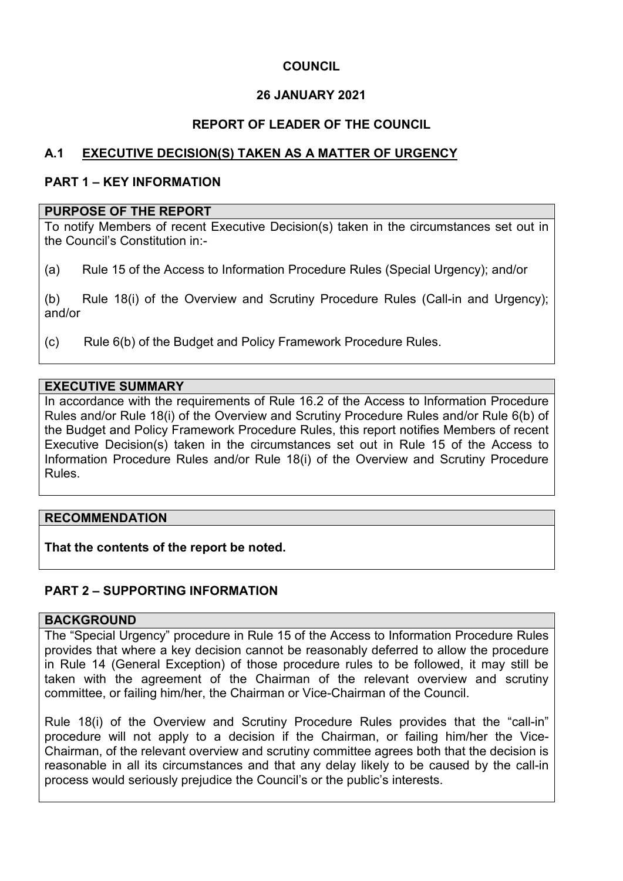# **COUNCIL**

# **26 JANUARY 2021**

# **REPORT OF LEADER OF THE COUNCIL**

# **A.1 EXECUTIVE DECISION(S) TAKEN AS A MATTER OF URGENCY**

## **PART 1 – KEY INFORMATION**

### **PURPOSE OF THE REPORT**

To notify Members of recent Executive Decision(s) taken in the circumstances set out in the Council's Constitution in:-

(a) Rule 15 of the Access to Information Procedure Rules (Special Urgency); and/or

(b) Rule 18(i) of the Overview and Scrutiny Procedure Rules (Call-in and Urgency); and/or

(c) Rule 6(b) of the Budget and Policy Framework Procedure Rules.

### **EXECUTIVE SUMMARY**

In accordance with the requirements of Rule 16.2 of the Access to Information Procedure Rules and/or Rule 18(i) of the Overview and Scrutiny Procedure Rules and/or Rule 6(b) of the Budget and Policy Framework Procedure Rules, this report notifies Members of recent Executive Decision(s) taken in the circumstances set out in Rule 15 of the Access to Information Procedure Rules and/or Rule 18(i) of the Overview and Scrutiny Procedure Rules.

#### **RECOMMENDATION**

**That the contents of the report be noted.** 

### **PART 2 – SUPPORTING INFORMATION**

#### **BACKGROUND**

The "Special Urgency" procedure in Rule 15 of the Access to Information Procedure Rules provides that where a key decision cannot be reasonably deferred to allow the procedure in Rule 14 (General Exception) of those procedure rules to be followed, it may still be taken with the agreement of the Chairman of the relevant overview and scrutiny committee, or failing him/her, the Chairman or Vice-Chairman of the Council.

Rule 18(i) of the Overview and Scrutiny Procedure Rules provides that the "call-in" procedure will not apply to a decision if the Chairman, or failing him/her the Vice-Chairman, of the relevant overview and scrutiny committee agrees both that the decision is reasonable in all its circumstances and that any delay likely to be caused by the call-in process would seriously prejudice the Council's or the public's interests.